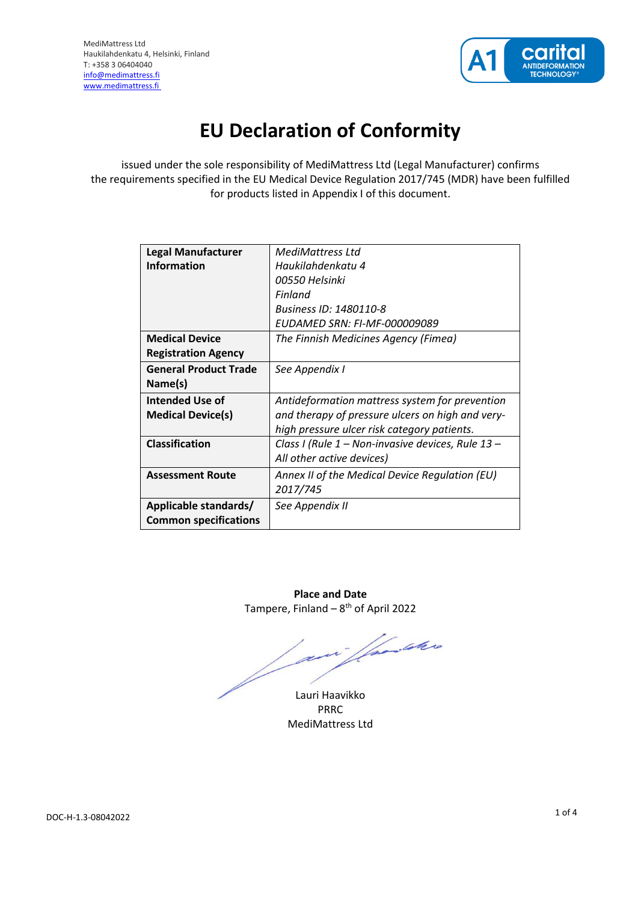

# **EU Declaration of Conformity**

issued under the sole responsibility of MediMattress Ltd (Legal Manufacturer) confirms the requirements specified in the EU Medical Device Regulation 2017/745 (MDR) have been fulfilled for products listed in Appendix I of this document.

| <b>Legal Manufacturer</b>    | MediMattress Ltd                                  |
|------------------------------|---------------------------------------------------|
| Information                  | Haukilahdenkatu 4                                 |
|                              | 00550 Helsinki                                    |
|                              | Finland                                           |
|                              | Business ID: 1480110-8                            |
|                              | EUDAMED SRN: FI-MF-000009089                      |
| <b>Medical Device</b>        | The Finnish Medicines Agency (Fimea)              |
| <b>Registration Agency</b>   |                                                   |
| <b>General Product Trade</b> | See Appendix I                                    |
| Name(s)                      |                                                   |
| Intended Use of              | Antideformation mattress system for prevention    |
| <b>Medical Device(s)</b>     | and therapy of pressure ulcers on high and very-  |
|                              | high pressure ulcer risk category patients.       |
| Classification               | Class I (Rule 1 – Non-invasive devices, Rule 13 – |
|                              | All other active devices)                         |
| <b>Assessment Route</b>      | Annex II of the Medical Device Regulation (EU)    |
|                              | 2017/745                                          |
| Applicable standards/        | See Appendix II                                   |
| <b>Common specifications</b> |                                                   |
|                              |                                                   |

**Place and Date** Tampere, Finland – 8<sup>th</sup> of April 2022

i familier

Lauri Haavikko PRRC MediMattress Ltd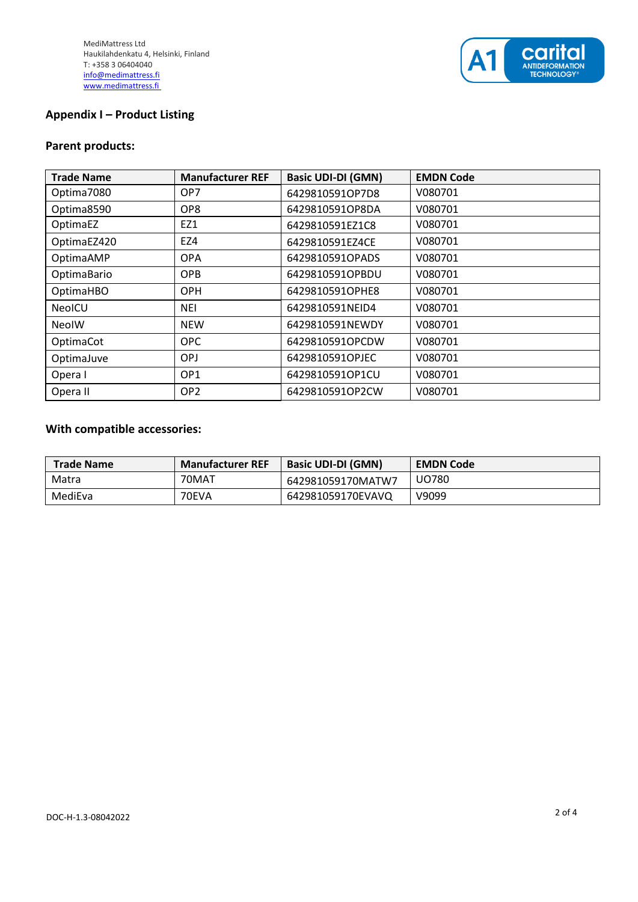

#### **Appendix I – Product Listing**

### **Parent products:**

| <b>Trade Name</b> | <b>Manufacturer REF</b> | <b>Basic UDI-DI (GMN)</b> | <b>EMDN Code</b> |
|-------------------|-------------------------|---------------------------|------------------|
| Optima7080        | OP7                     | 6429810591OP7D8           | V080701          |
| Optima8590        | OP <sub>8</sub>         | 6429810591OP8DA           | V080701          |
| OptimaEZ          | EZ1                     | 6429810591EZ1C8           | V080701          |
| OptimaEZ420       | EZ4                     | 6429810591EZ4CE           | V080701          |
| OptimaAMP         | <b>OPA</b>              | 6429810591OPADS           | V080701          |
| OptimaBario       | <b>OPB</b>              | 6429810591OPBDU           | V080701          |
| OptimaHBO         | <b>OPH</b>              | 6429810591OPHE8           | V080701          |
| <b>NeoICU</b>     | <b>NEI</b>              | 6429810591NEID4           | V080701          |
| <b>NeolW</b>      | <b>NEW</b>              | 6429810591NEWDY           | V080701          |
| OptimaCot         | OPC                     | 6429810591OPCDW           | V080701          |
| OptimaJuve        | <b>OPJ</b>              | 6429810591OPJEC           | V080701          |
| Opera I           | OP <sub>1</sub>         | 6429810591OP1CU           | V080701          |
| Opera II          | OP <sub>2</sub>         | 6429810591OP2CW           | V080701          |

## **With compatible accessories:**

| <b>Trade Name</b> | <b>Manufacturer REF</b> | <b>Basic UDI-DI (GMN)</b> | <b>EMDN Code</b> |
|-------------------|-------------------------|---------------------------|------------------|
| Matra             | 70MAT                   | 642981059170MATW7         | UO780            |
| MediEva           | 70EVA                   | 642981059170EVAVQ         | V9099            |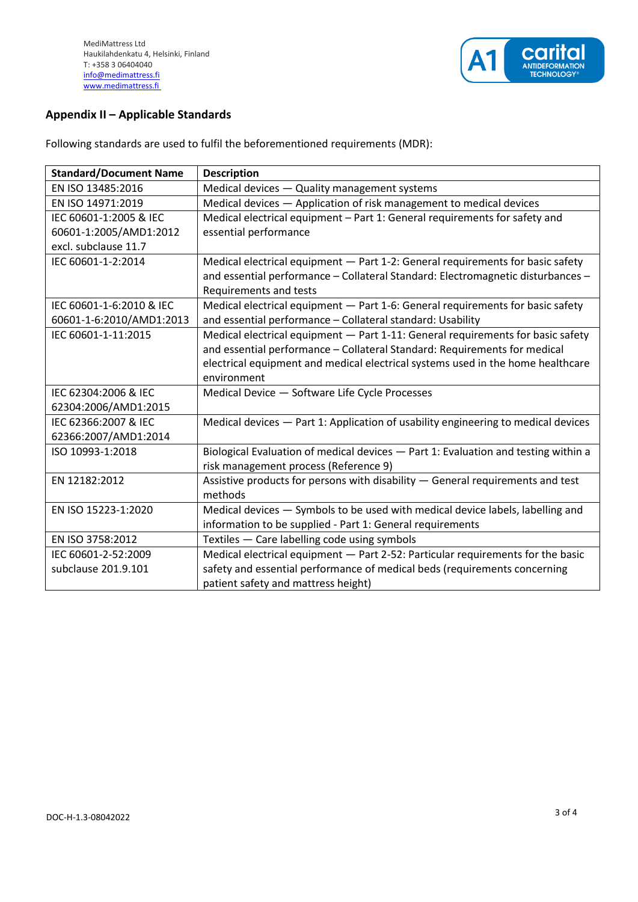

# **Appendix II – Applicable Standards**

Following standards are used to fulfil the beforementioned requirements (MDR):

| <b>Standard/Document Name</b> | <b>Description</b>                                                                 |
|-------------------------------|------------------------------------------------------------------------------------|
| EN ISO 13485:2016             | Medical devices - Quality management systems                                       |
| EN ISO 14971:2019             | Medical devices - Application of risk management to medical devices                |
| IEC 60601-1:2005 & IEC        | Medical electrical equipment - Part 1: General requirements for safety and         |
| 60601-1:2005/AMD1:2012        | essential performance                                                              |
| excl. subclause 11.7          |                                                                                    |
| IEC 60601-1-2:2014            | Medical electrical equipment - Part 1-2: General requirements for basic safety     |
|                               | and essential performance - Collateral Standard: Electromagnetic disturbances -    |
|                               | Requirements and tests                                                             |
| IEC 60601-1-6:2010 & IEC      | Medical electrical equipment - Part 1-6: General requirements for basic safety     |
| 60601-1-6:2010/AMD1:2013      | and essential performance - Collateral standard: Usability                         |
| IEC 60601-1-11:2015           | Medical electrical equipment - Part 1-11: General requirements for basic safety    |
|                               | and essential performance - Collateral Standard: Requirements for medical          |
|                               | electrical equipment and medical electrical systems used in the home healthcare    |
|                               | environment                                                                        |
| IEC 62304:2006 & IEC          | Medical Device - Software Life Cycle Processes                                     |
| 62304:2006/AMD1:2015          |                                                                                    |
| IEC 62366:2007 & IEC          | Medical devices - Part 1: Application of usability engineering to medical devices  |
| 62366:2007/AMD1:2014          |                                                                                    |
| ISO 10993-1:2018              | Biological Evaluation of medical devices - Part 1: Evaluation and testing within a |
|                               | risk management process (Reference 9)                                              |
| EN 12182:2012                 | Assistive products for persons with disability - General requirements and test     |
|                               | methods                                                                            |
| EN ISO 15223-1:2020           | Medical devices - Symbols to be used with medical device labels, labelling and     |
|                               | information to be supplied - Part 1: General requirements                          |
| EN ISO 3758:2012              | Textiles - Care labelling code using symbols                                       |
| IEC 60601-2-52:2009           | Medical electrical equipment - Part 2-52: Particular requirements for the basic    |
| subclause 201.9.101           | safety and essential performance of medical beds (requirements concerning          |
|                               | patient safety and mattress height)                                                |